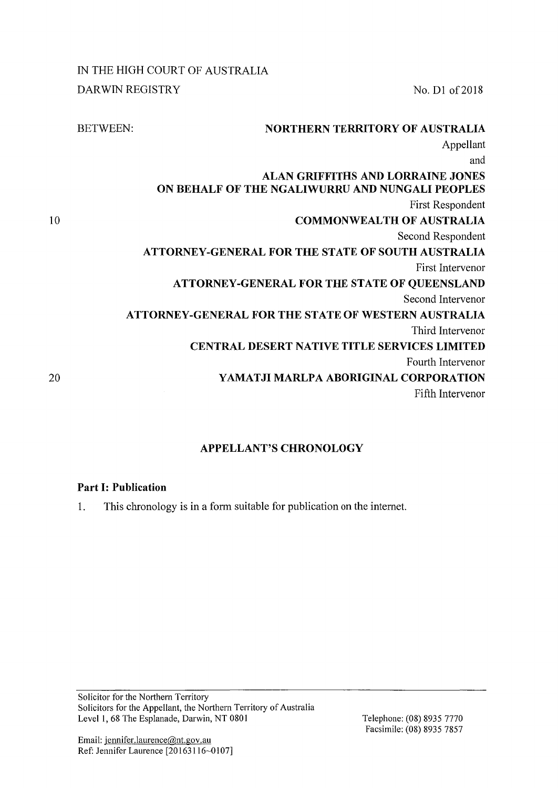## IN THE HIGH COURT OF AUSTRALIA DARWIN REGISTRY No. D1 of 2018 BETWEEN: **NORTHERN TERRITORY OF AUSTRALIA** Appellant and **ALAN GRIFFITHS AND LORRAINE JONES ON BEHALF OF THE NGALIWURRU AND NUNGALI PEOPLES**  First Respondent **COMMONWEALTH OF AUSTRALIA**  Second Respondent **ATTORNEY-GENERAL FOR THE STATE OF SOUTH AUSTRALIA**  First Intervenor **ATTORNEY-GENERAL FOR THE STATE OF QUEENSLAND**  Second Intervenor **ATTORNEY-GENERAL FOR THE STATE OF WESTERN AUSTRALIA**  Third Intervenor **CENTRAL DESERT NATIVE TITLE SERVICES LIMITED**  Fourth Intervenor **YAMATJI MARLPA ABORIGINAL CORPORATION**  Fifth Intervenor

## **APPELLANT'S CHRONOLOGY**

## **Part 1: Publication**

10

20

1. This chronology is in a form suitable for publication on the intemet.

Telephone: (08) 8935 7770 Facsimile: (08) 8935 7857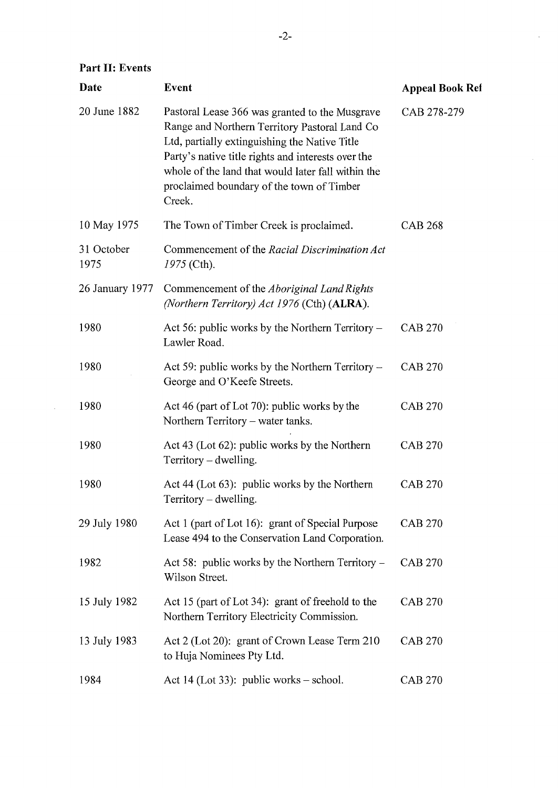## **Part 11: Events**

 $\sim 10^7$ 

| Date               | <b>Event</b>                                                                                                                                                                                                                                                                                                        | <b>Appeal Book Ref</b> |
|--------------------|---------------------------------------------------------------------------------------------------------------------------------------------------------------------------------------------------------------------------------------------------------------------------------------------------------------------|------------------------|
| 20 June 1882       | Pastoral Lease 366 was granted to the Musgrave<br>Range and Northern Territory Pastoral Land Co<br>Ltd, partially extinguishing the Native Title<br>Party's native title rights and interests over the<br>whole of the land that would later fall within the<br>proclaimed boundary of the town of Timber<br>Creek. | CAB 278-279            |
| 10 May 1975        | The Town of Timber Creek is proclaimed.                                                                                                                                                                                                                                                                             | <b>CAB 268</b>         |
| 31 October<br>1975 | Commencement of the Racial Discrimination Act<br>1975 (Cth).                                                                                                                                                                                                                                                        |                        |
| 26 January 1977    | Commencement of the <i>Aboriginal Land Rights</i><br>(Northern Territory) Act 1976 (Cth) (ALRA).                                                                                                                                                                                                                    |                        |
| 1980               | Act 56: public works by the Northern Territory $-$<br>Lawler Road.                                                                                                                                                                                                                                                  | <b>CAB 270</b>         |
| 1980               | Act 59: public works by the Northern Territory $-$<br>George and O'Keefe Streets.                                                                                                                                                                                                                                   | <b>CAB 270</b>         |
| 1980               | Act 46 (part of Lot 70): public works by the<br>Northern Territory – water tanks.                                                                                                                                                                                                                                   | <b>CAB 270</b>         |
| 1980               | Act 43 (Lot 62): public works by the Northern<br>Territory $-$ dwelling.                                                                                                                                                                                                                                            | <b>CAB 270</b>         |
| 1980               | Act 44 (Lot 63): public works by the Northern<br>$T$ erritory – dwelling.                                                                                                                                                                                                                                           | <b>CAB 270</b>         |
| 29 July 1980       | Act 1 (part of Lot 16): grant of Special Purpose<br>Lease 494 to the Conservation Land Corporation.                                                                                                                                                                                                                 | <b>CAB 270</b>         |
| 1982               | Act 58: public works by the Northern Territory $-$<br>Wilson Street.                                                                                                                                                                                                                                                | <b>CAB 270</b>         |
| 15 July 1982       | Act 15 (part of Lot 34): grant of freehold to the<br>Northern Territory Electricity Commission.                                                                                                                                                                                                                     | <b>CAB 270</b>         |
| 13 July 1983       | Act 2 (Lot 20): grant of Crown Lease Term 210<br>to Huja Nominees Pty Ltd.                                                                                                                                                                                                                                          | <b>CAB 270</b>         |
| 1984               | Act 14 (Lot 33): public works – school.                                                                                                                                                                                                                                                                             | <b>CAB 270</b>         |

 $\hat{\boldsymbol{\gamma}}$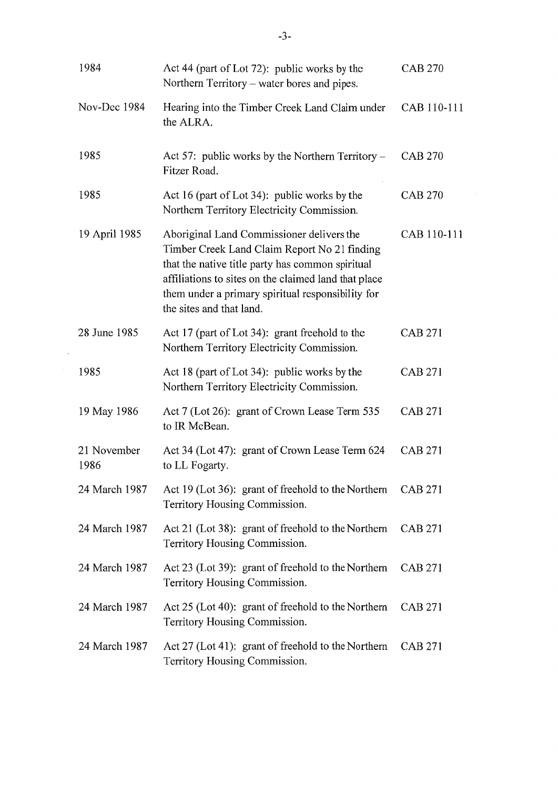| 1984                | Act 44 (part of Lot 72): public works by the<br>Northern Territory – water bores and pipes.                                                                                                                                                                                            | <b>CAB 270</b> |
|---------------------|----------------------------------------------------------------------------------------------------------------------------------------------------------------------------------------------------------------------------------------------------------------------------------------|----------------|
| Nov-Dec 1984        | Hearing into the Timber Creek Land Claim under<br>the ALRA.                                                                                                                                                                                                                            | CAB 110-111    |
| 1985                | Act 57: public works by the Northern Territory $-$<br>Fitzer Road.                                                                                                                                                                                                                     | <b>CAB 270</b> |
| 1985                | Act 16 (part of Lot 34): public works by the<br>Northern Territory Electricity Commission.                                                                                                                                                                                             | <b>CAB 270</b> |
| 19 April 1985       | Aboriginal Land Commissioner delivers the<br>Timber Creek Land Claim Report No 21 finding<br>that the native title party has common spiritual<br>affiliations to sites on the claimed land that place<br>them under a primary spiritual responsibility for<br>the sites and that land. | CAB 110-111    |
| 28 June 1985        | Act 17 (part of Lot 34): grant freehold to the<br>Northern Territory Electricity Commission.                                                                                                                                                                                           | <b>CAB 271</b> |
| 1985                | Act 18 (part of Lot 34): public works by the<br>Northern Territory Electricity Commission.                                                                                                                                                                                             | <b>CAB 271</b> |
| 19 May 1986         | Act 7 (Lot 26): grant of Crown Lease Term 535<br>to IR McBean.                                                                                                                                                                                                                         | <b>CAB 271</b> |
| 21 November<br>1986 | Act 34 (Lot 47): grant of Crown Lease Term 624<br>to LL Fogarty.                                                                                                                                                                                                                       | <b>CAB 271</b> |
| 24 March 1987       | Act 19 (Lot 36): grant of freehold to the Northern<br>Territory Housing Commission.                                                                                                                                                                                                    | <b>CAB 271</b> |
| 24 March 1987       | Act 21 (Lot 38): grant of freehold to the Northern<br>Territory Housing Commission.                                                                                                                                                                                                    | <b>CAB 271</b> |
| 24 March 1987       | Act 23 (Lot 39): grant of freehold to the Northern<br>Territory Housing Commission.                                                                                                                                                                                                    | <b>CAB 271</b> |
| 24 March 1987       | Act 25 (Lot 40): grant of freehold to the Northern<br>Territory Housing Commission.                                                                                                                                                                                                    | <b>CAB 271</b> |
| 24 March 1987       | Act 27 (Lot 41): grant of freehold to the Northern<br>Territory Housing Commission.                                                                                                                                                                                                    | <b>CAB 271</b> |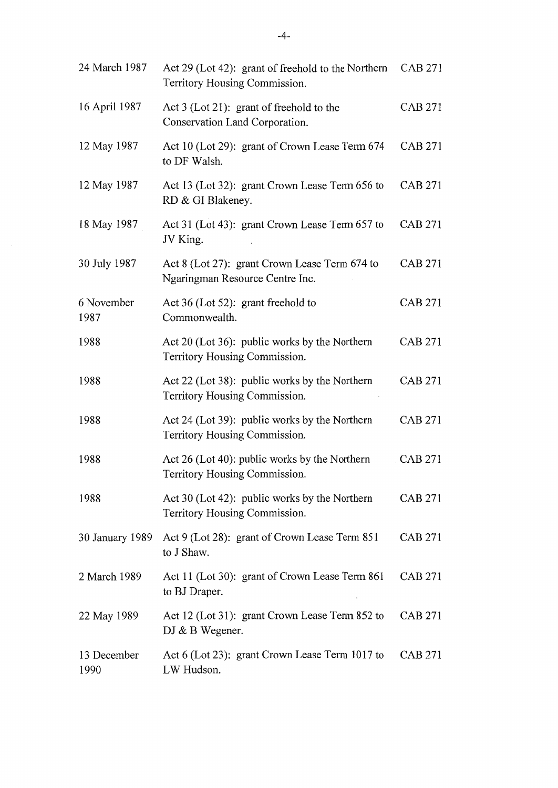| 24 March 1987       | Act 29 (Lot 42): grant of freehold to the Northern<br>Territory Housing Commission.   | <b>CAB 271</b> |
|---------------------|---------------------------------------------------------------------------------------|----------------|
| 16 April 1987       | Act $3$ (Lot 21): grant of freehold to the<br>Conservation Land Corporation.          | <b>CAB 271</b> |
| 12 May 1987         | Act 10 (Lot 29): grant of Crown Lease Term 674<br>to DF Walsh.                        | CAB 271        |
| 12 May 1987         | Act 13 (Lot 32): grant Crown Lease Term 656 to<br>RD & GI Blakeney.                   | CAB 271        |
| 18 May 1987         | Act 31 (Lot 43): grant Crown Lease Term 657 to<br>JV King.                            | <b>CAB 271</b> |
| 30 July 1987        | Act 8 (Lot 27): grant Crown Lease Term 674 to<br>Ngaringman Resource Centre Inc.      | CAB 271        |
| 6 November<br>1987  | Act 36 (Lot 52): grant freehold to<br>Commonwealth.                                   | <b>CAB 271</b> |
| 1988                | Act 20 (Lot 36): public works by the Northern<br>Territory Housing Commission.        | <b>CAB 271</b> |
| 1988                | Act 22 (Lot 38): public works by the Northern<br>Territory Housing Commission.        | <b>CAB 271</b> |
| 1988                | Act 24 (Lot 39): public works by the Northern<br>Territory Housing Commission.        | <b>CAB 271</b> |
| 1988                | Act 26 (Lot 40): public works by the Northern<br>Territory Housing Commission.        | CAB 271        |
| 1988                | Act 30 (Lot 42): public works by the Northern<br><b>Territory Housing Commission.</b> | <b>CAB 271</b> |
| 30 January 1989     | Act 9 (Lot 28): grant of Crown Lease Term 851<br>to J Shaw.                           | <b>CAB 271</b> |
| 2 March 1989        | Act 11 (Lot 30): grant of Crown Lease Term 861<br>to BJ Draper.                       | <b>CAB 271</b> |
| 22 May 1989         | Act 12 (Lot 31): grant Crown Lease Term 852 to<br>DJ & B Wegener.                     | <b>CAB 271</b> |
| 13 December<br>1990 | Act 6 (Lot 23): grant Crown Lease Term 1017 to<br>LW Hudson.                          | <b>CAB 271</b> |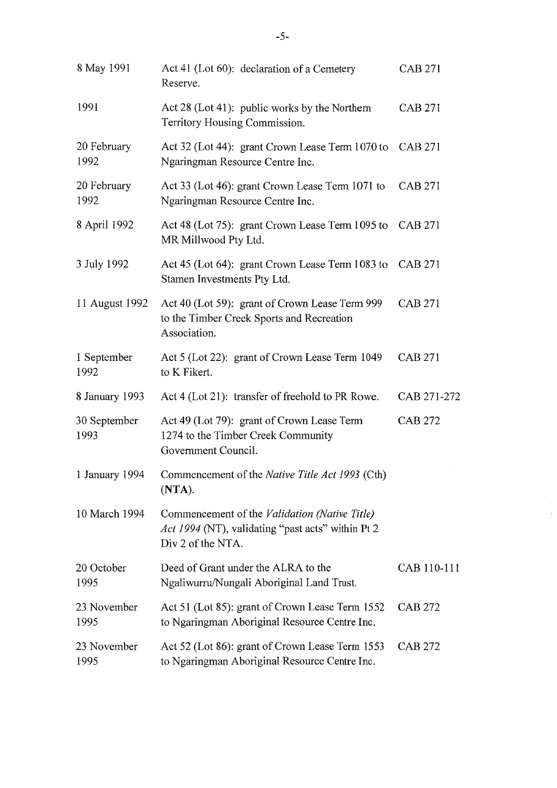| 8 May 1991           | Act 41 (Lot 60): declaration of a Cemetery<br>Reserve.                                                                         | <b>CAB 271</b> |
|----------------------|--------------------------------------------------------------------------------------------------------------------------------|----------------|
| 1991                 | Act 28 (Lot 41): public works by the Northern<br>Territory Housing Commission.                                                 | <b>CAB 271</b> |
| 20 February<br>1992  | Act 32 (Lot 44): grant Crown Lease Term 1070 to CAB 271<br>Ngaringman Resource Centre Inc.                                     |                |
| 20 February<br>1992  | Act 33 (Lot 46): grant Crown Lease Term 1071 to<br>Ngaringman Resource Centre Inc.                                             | <b>CAB 271</b> |
| 8 April 1992         | Act 48 (Lot 75): grant Crown Lease Term 1095 to<br>MR Millwood Pty Ltd.                                                        | <b>CAB 271</b> |
| 3 July 1992          | Act 45 (Lot 64): grant Crown Lease Term 1083 to<br>Stamen Investments Pty Ltd.                                                 | CAB 271        |
| 11 August 1992       | Act 40 (Lot 59): grant of Crown Lease Term 999<br>to the Timber Creek Sports and Recreation<br>Association.                    | <b>CAB 271</b> |
| 1 September<br>1992  | Act 5 (Lot 22): grant of Crown Lease Term 1049<br>to K Fikert.                                                                 | <b>CAB 271</b> |
| 8 January 1993       | Act 4 (Lot 21): transfer of freehold to PR Rowe.                                                                               | CAB 271-272    |
| 30 September<br>1993 | Act 49 (Lot 79): grant of Crown Lease Term<br>1274 to the Timber Creek Community<br>Government Council.                        | <b>CAB 272</b> |
| 1 January 1994       | Commencement of the Native Title Act 1993 (Cth)<br>(NTA).                                                                      |                |
| 10 March 1994        | Commencement of the <i>Validation (Native Title)</i><br>Act 1994 (NT), validating "past acts" within Pt 2<br>Div 2 of the NTA. |                |
| 20 October<br>1995   | Deed of Grant under the ALRA to the<br>Ngaliwurru/Nungali Aboriginal Land Trust.                                               | CAB 110-111    |
| 23 November<br>1995  | Act 51 (Lot 85): grant of Crown Lease Term 1552<br>to Ngaringman Aboriginal Resource Centre Inc.                               | <b>CAB 272</b> |
| 23 November<br>1995  | Act 52 (Lot 86): grant of Crown Lease Term 1553<br>to Ngaringman Aboriginal Resource Centre Inc.                               | <b>CAB 272</b> |

 $\frac{1}{2}$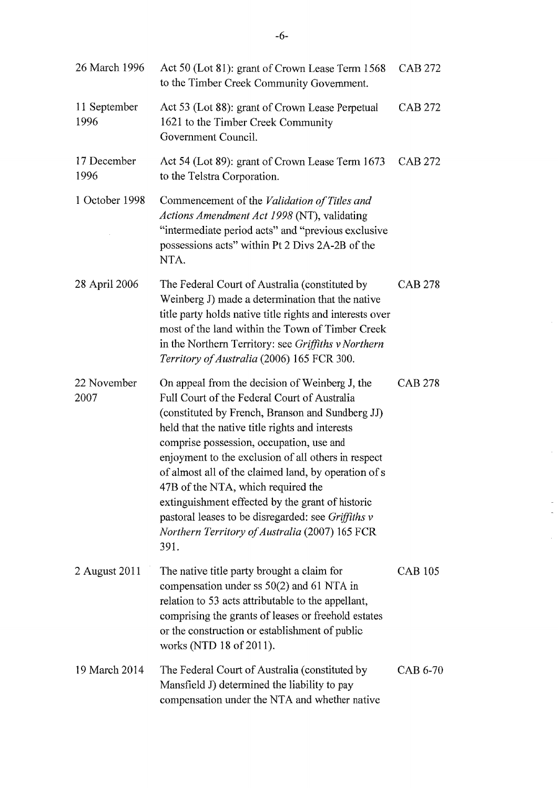| 26 March 1996        | Act 50 (Lot 81): grant of Crown Lease Term 1568<br>to the Timber Creek Community Government.                                                                                                                                                                                                                                                                                                                                                                                                                                                                               | CAB 272        |
|----------------------|----------------------------------------------------------------------------------------------------------------------------------------------------------------------------------------------------------------------------------------------------------------------------------------------------------------------------------------------------------------------------------------------------------------------------------------------------------------------------------------------------------------------------------------------------------------------------|----------------|
| 11 September<br>1996 | Act 53 (Lot 88): grant of Crown Lease Perpetual<br>1621 to the Timber Creek Community<br>Government Council.                                                                                                                                                                                                                                                                                                                                                                                                                                                               | <b>CAB 272</b> |
| 17 December<br>1996  | Act 54 (Lot 89): grant of Crown Lease Term 1673<br>to the Telstra Corporation.                                                                                                                                                                                                                                                                                                                                                                                                                                                                                             | CAB 272        |
| 1 October 1998       | Commencement of the Validation of Titles and<br>Actions Amendment Act 1998 (NT), validating<br>"intermediate period acts" and "previous exclusive"<br>possessions acts" within Pt 2 Divs 2A-2B of the<br>NTA.                                                                                                                                                                                                                                                                                                                                                              |                |
| 28 April 2006        | The Federal Court of Australia (constituted by<br>Weinberg J) made a determination that the native<br>title party holds native title rights and interests over<br>most of the land within the Town of Timber Creek<br>in the Northern Territory: see Griffiths v Northern<br>Territory of Australia (2006) 165 FCR 300.                                                                                                                                                                                                                                                    | <b>CAB 278</b> |
| 22 November<br>2007  | On appeal from the decision of Weinberg J, the<br>Full Court of the Federal Court of Australia<br>(constituted by French, Branson and Sundberg JJ)<br>held that the native title rights and interests<br>comprise possession, occupation, use and<br>enjoyment to the exclusion of all others in respect<br>of almost all of the claimed land, by operation of s<br>47B of the NTA, which required the<br>extinguishment effected by the grant of historic<br>pastoral leases to be disregarded: see Griffiths v<br>Northern Territory of Australia (2007) 165 FCR<br>391. | <b>CAB 278</b> |
| 2 August 2011        | The native title party brought a claim for<br>compensation under ss $50(2)$ and 61 NTA in<br>relation to 53 acts attributable to the appellant,<br>comprising the grants of leases or freehold estates<br>or the construction or establishment of public<br>works (NTD 18 of 2011).                                                                                                                                                                                                                                                                                        | <b>CAB 105</b> |
| 19 March 2014        | The Federal Court of Australia (constituted by<br>Mansfield J) determined the liability to pay<br>compensation under the NTA and whether native                                                                                                                                                                                                                                                                                                                                                                                                                            | CAB 6-70       |